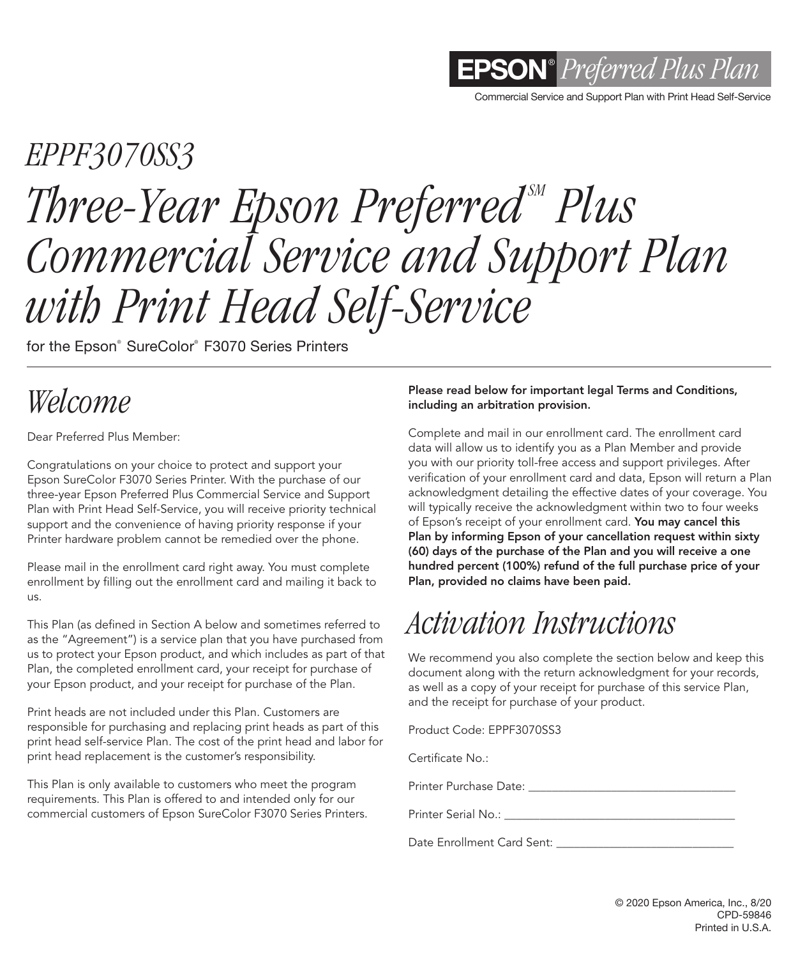

Commercial Service and Support Plan with Print Head Self-Service

# *EPPF3070SS3 Three-Year Epson Preferred Plus Commercial Service and Support Plan with Print Head Self-Service*

for the Epson® SureColor® F3070 Series Printers

### *Welcome*

Dear Preferred Plus Member:

Congratulations on your choice to protect and support your Epson SureColor F3070 Series Printer. With the purchase of our three-year Epson Preferred Plus Commercial Service and Support Plan with Print Head Self-Service, you will receive priority technical support and the convenience of having priority response if your Printer hardware problem cannot be remedied over the phone.

Please mail in the enrollment card right away. You must complete enrollment by filling out the enrollment card and mailing it back to us.

This Plan (as defined in Section A below and sometimes referred to as the "Agreement") is a service plan that you have purchased from us to protect your Epson product, and which includes as part of that Plan, the completed enrollment card, your receipt for purchase of your Epson product, and your receipt for purchase of the Plan.

Print heads are not included under this Plan. Customers are responsible for purchasing and replacing print heads as part of this print head self-service Plan. The cost of the print head and labor for print head replacement is the customer's responsibility.

This Plan is only available to customers who meet the program requirements. This Plan is offered to and intended only for our commercial customers of Epson SureColor F3070 Series Printers.

#### Please read below for important legal Terms and Conditions, including an arbitration provision.

Complete and mail in our enrollment card. The enrollment card data will allow us to identify you as a Plan Member and provide you with our priority toll-free access and support privileges. After verification of your enrollment card and data, Epson will return a Plan acknowledgment detailing the effective dates of your coverage. You will typically receive the acknowledgment within two to four weeks of Epson's receipt of your enrollment card. You may cancel this Plan by informing Epson of your cancellation request within sixty (60) days of the purchase of the Plan and you will receive a one hundred percent (100%) refund of the full purchase price of your Plan, provided no claims have been paid.

### *Activation Instructions*

We recommend you also complete the section below and keep this document along with the return acknowledgment for your records, as well as a copy of your receipt for purchase of this service Plan, and the receipt for purchase of your product.

Product Code: EPPF3070SS3

Certificate No.:

Printer Purchase Date:

Printer Serial No.:

Date Enrollment Card Sent: \_\_\_\_\_\_\_\_\_\_\_\_\_\_\_\_\_\_\_\_\_\_\_\_\_\_\_\_\_\_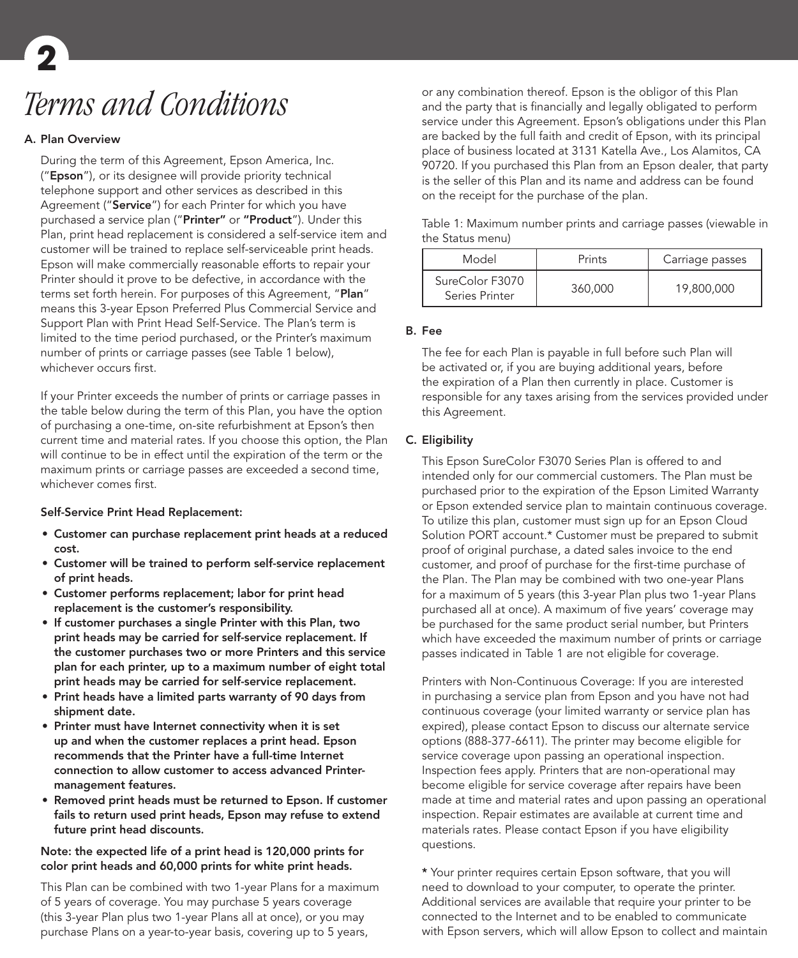## *Terms and Conditions* **2**

#### A. Plan Overview

During the term of this Agreement, Epson America, Inc. ("Epson"), or its designee will provide priority technical telephone support and other services as described in this Agreement ("Service") for each Printer for which you have purchased a service plan ("Printer" or "Product"). Under this Plan, print head replacement is considered a self-service item and customer will be trained to replace self-serviceable print heads. Epson will make commercially reasonable efforts to repair your Printer should it prove to be defective, in accordance with the terms set forth herein. For purposes of this Agreement, "Plan" means this 3-year Epson Preferred Plus Commercial Service and Support Plan with Print Head Self-Service. The Plan's term is limited to the time period purchased, or the Printer's maximum number of prints or carriage passes (see Table 1 below), whichever occurs first.

If your Printer exceeds the number of prints or carriage passes in the table below during the term of this Plan, you have the option of purchasing a one-time, on-site refurbishment at Epson's then current time and material rates. If you choose this option, the Plan will continue to be in effect until the expiration of the term or the maximum prints or carriage passes are exceeded a second time, whichever comes first.

#### Self-Service Print Head Replacement:

- Customer can purchase replacement print heads at a reduced cost.
- Customer will be trained to perform self-service replacement of print heads.
- Customer performs replacement; labor for print head replacement is the customer's responsibility.
- If customer purchases a single Printer with this Plan, two print heads may be carried for self-service replacement. If the customer purchases two or more Printers and this service plan for each printer, up to a maximum number of eight total print heads may be carried for self-service replacement.
- Print heads have a limited parts warranty of 90 days from shipment date.
- Printer must have Internet connectivity when it is set up and when the customer replaces a print head. Epson recommends that the Printer have a full-time Internet connection to allow customer to access advanced Printermanagement features.
- Removed print heads must be returned to Epson. If customer fails to return used print heads, Epson may refuse to extend future print head discounts.

#### Note: the expected life of a print head is 120,000 prints for color print heads and 60,000 prints for white print heads.

This Plan can be combined with two 1-year Plans for a maximum of 5 years of coverage. You may purchase 5 years coverage (this 3-year Plan plus two 1-year Plans all at once), or you may purchase Plans on a year-to-year basis, covering up to 5 years,

or any combination thereof. Epson is the obligor of this Plan and the party that is financially and legally obligated to perform service under this Agreement. Epson's obligations under this Plan are backed by the full faith and credit of Epson, with its principal place of business located at 3131 Katella Ave., Los Alamitos, CA 90720. If you purchased this Plan from an Epson dealer, that party is the seller of this Plan and its name and address can be found on the receipt for the purchase of the plan.

Table 1: Maximum number prints and carriage passes (viewable in the Status menu)

| Model                             | Prints  | Carriage passes |
|-----------------------------------|---------|-----------------|
| SureColor F3070<br>Series Printer | 360,000 | 19,800,000      |

#### B. Fee

The fee for each Plan is payable in full before such Plan will be activated or, if you are buying additional years, before the expiration of a Plan then currently in place. Customer is responsible for any taxes arising from the services provided under this Agreement.

#### C. Eligibility

This Epson SureColor F3070 Series Plan is offered to and intended only for our commercial customers. The Plan must be purchased prior to the expiration of the Epson Limited Warranty or Epson extended service plan to maintain continuous coverage. To utilize this plan, customer must sign up for an Epson Cloud Solution PORT account.\* Customer must be prepared to submit proof of original purchase, a dated sales invoice to the end customer, and proof of purchase for the first-time purchase of the Plan. The Plan may be combined with two one-year Plans for a maximum of 5 years (this 3-year Plan plus two 1-year Plans purchased all at once). A maximum of five years' coverage may be purchased for the same product serial number, but Printers which have exceeded the maximum number of prints or carriage passes indicated in Table 1 are not eligible for coverage.

Printers with Non-Continuous Coverage: If you are interested in purchasing a service plan from Epson and you have not had continuous coverage (your limited warranty or service plan has expired), please contact Epson to discuss our alternate service options (888-377-6611). The printer may become eligible for service coverage upon passing an operational inspection. Inspection fees apply. Printers that are non-operational may become eligible for service coverage after repairs have been made at time and material rates and upon passing an operational inspection. Repair estimates are available at current time and materials rates. Please contact Epson if you have eligibility questions.

\* Your printer requires certain Epson software, that you will need to download to your computer, to operate the printer. Additional services are available that require your printer to be connected to the Internet and to be enabled to communicate with Epson servers, which will allow Epson to collect and maintain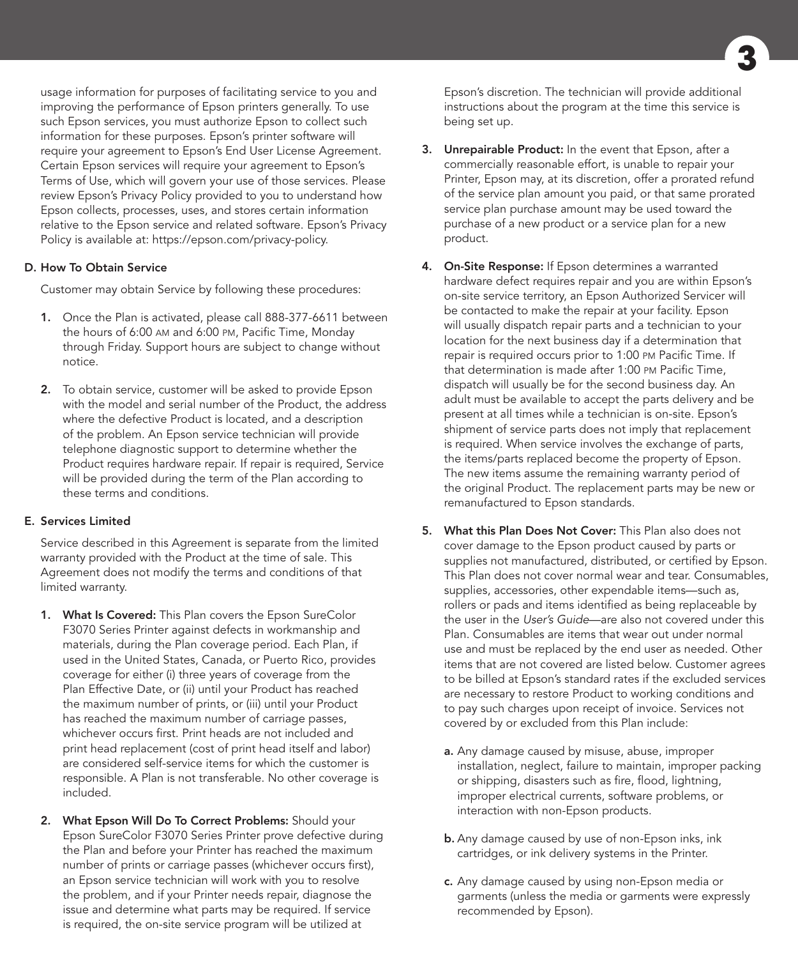usage information for purposes of facilitating service to you and improving the performance of Epson printers generally. To use such Epson services, you must authorize Epson to collect such information for these purposes. Epson's printer software will require your agreement to Epson's End User License Agreement. Certain Epson services will require your agreement to Epson's Terms of Use, which will govern your use of those services. Please review Epson's Privacy Policy provided to you to understand how Epson collects, processes, uses, and stores certain information relative to the Epson service and related software. Epson's Privacy Policy is available at: https://epson.com/privacy-policy.

#### D. How To Obtain Service

Customer may obtain Service by following these procedures:

- 1. Once the Plan is activated, please call 888-377-6611 between the hours of 6:00 am and 6:00 pm, Pacific Time, Monday through Friday. Support hours are subject to change without notice.
- 2. To obtain service, customer will be asked to provide Epson with the model and serial number of the Product, the address where the defective Product is located, and a description of the problem. An Epson service technician will provide telephone diagnostic support to determine whether the Product requires hardware repair. If repair is required, Service will be provided during the term of the Plan according to these terms and conditions.

#### E. Services Limited

Service described in this Agreement is separate from the limited warranty provided with the Product at the time of sale. This Agreement does not modify the terms and conditions of that limited warranty.

- 1. What Is Covered: This Plan covers the Epson SureColor F3070 Series Printer against defects in workmanship and materials, during the Plan coverage period. Each Plan, if used in the United States, Canada, or Puerto Rico, provides coverage for either (i) three years of coverage from the Plan Effective Date, or (ii) until your Product has reached the maximum number of prints, or (iii) until your Product has reached the maximum number of carriage passes, whichever occurs first. Print heads are not included and print head replacement (cost of print head itself and labor) are considered self-service items for which the customer is responsible. A Plan is not transferable. No other coverage is included.
- 2. What Epson Will Do To Correct Problems: Should your Epson SureColor F3070 Series Printer prove defective during the Plan and before your Printer has reached the maximum number of prints or carriage passes (whichever occurs first), an Epson service technician will work with you to resolve the problem, and if your Printer needs repair, diagnose the issue and determine what parts may be required. If service is required, the on-site service program will be utilized at

Epson's discretion. The technician will provide additional instructions about the program at the time this service is being set up.

- **3.** Unrepairable Product: In the event that Epson, after a commercially reasonable effort, is unable to repair your Printer, Epson may, at its discretion, offer a prorated refund of the service plan amount you paid, or that same prorated service plan purchase amount may be used toward the purchase of a new product or a service plan for a new product.
- 4. On-Site Response: If Epson determines a warranted hardware defect requires repair and you are within Epson's on-site service territory, an Epson Authorized Servicer will be contacted to make the repair at your facility. Epson will usually dispatch repair parts and a technician to your location for the next business day if a determination that repair is required occurs prior to 1:00 pm Pacific Time. If that determination is made after 1:00 pm Pacific Time, dispatch will usually be for the second business day. An adult must be available to accept the parts delivery and be present at all times while a technician is on-site. Epson's shipment of service parts does not imply that replacement is required. When service involves the exchange of parts, the items/parts replaced become the property of Epson. The new items assume the remaining warranty period of the original Product. The replacement parts may be new or remanufactured to Epson standards.
- 5. What this Plan Does Not Cover: This Plan also does not cover damage to the Epson product caused by parts or supplies not manufactured, distributed, or certified by Epson. This Plan does not cover normal wear and tear. Consumables, supplies, accessories, other expendable items—such as, rollers or pads and items identified as being replaceable by the user in the *User's Guide*—are also not covered under this Plan. Consumables are items that wear out under normal use and must be replaced by the end user as needed. Other items that are not covered are listed below. Customer agrees to be billed at Epson's standard rates if the excluded services are necessary to restore Product to working conditions and to pay such charges upon receipt of invoice. Services not covered by or excluded from this Plan include:
	- a. Any damage caused by misuse, abuse, improper installation, neglect, failure to maintain, improper packing or shipping, disasters such as fire, flood, lightning, improper electrical currents, software problems, or interaction with non-Epson products.
	- **b.** Any damage caused by use of non-Epson inks, ink cartridges, or ink delivery systems in the Printer.
	- c. Any damage caused by using non-Epson media or garments (unless the media or garments were expressly recommended by Epson).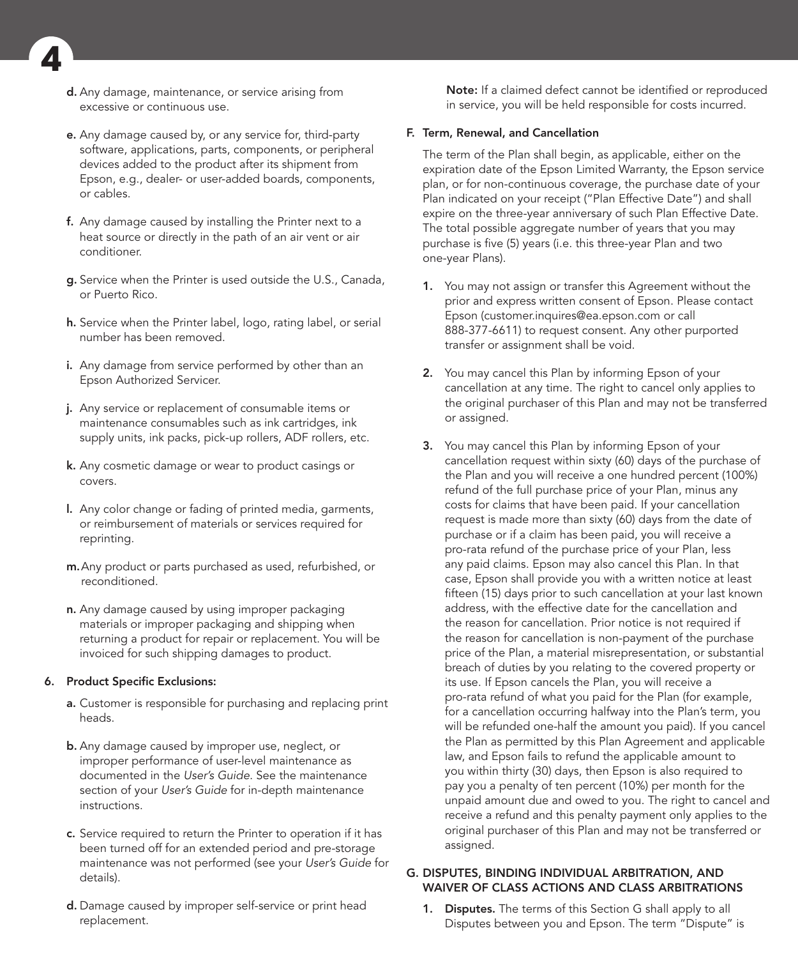d. Any damage, maintenance, or service arising from excessive or continuous use.

**4**

- e. Any damage caused by, or any service for, third-party software, applications, parts, components, or peripheral devices added to the product after its shipment from Epson, e.g., dealer- or user-added boards, components, or cables.
- f. Any damage caused by installing the Printer next to a heat source or directly in the path of an air vent or air conditioner.
- g. Service when the Printer is used outside the U.S., Canada, or Puerto Rico.
- h. Service when the Printer label, logo, rating label, or serial number has been removed.
- i. Any damage from service performed by other than an Epson Authorized Servicer.
- j. Any service or replacement of consumable items or maintenance consumables such as ink cartridges, ink supply units, ink packs, pick-up rollers, ADF rollers, etc.
- k. Any cosmetic damage or wear to product casings or covers.
- l. Any color change or fading of printed media, garments, or reimbursement of materials or services required for reprinting.
- m.Any product or parts purchased as used, refurbished, or reconditioned.
- n. Any damage caused by using improper packaging materials or improper packaging and shipping when returning a product for repair or replacement. You will be invoiced for such shipping damages to product.

#### 6. Product Specific Exclusions:

- a. Customer is responsible for purchasing and replacing print heads.
- b. Any damage caused by improper use, neglect, or improper performance of user-level maintenance as documented in the *User's Guide*. See the maintenance section of your *User's Guide* for in-depth maintenance instructions.
- c. Service required to return the Printer to operation if it has been turned off for an extended period and pre-storage maintenance was not performed (see your *User's Guide* for details).
- d. Damage caused by improper self-service or print head replacement.

Note: If a claimed defect cannot be identified or reproduced in service, you will be held responsible for costs incurred.

#### F. Term, Renewal, and Cancellation

The term of the Plan shall begin, as applicable, either on the expiration date of the Epson Limited Warranty, the Epson service plan, or for non-continuous coverage, the purchase date of your Plan indicated on your receipt ("Plan Effective Date") and shall expire on the three-year anniversary of such Plan Effective Date. The total possible aggregate number of years that you may purchase is five (5) years (i.e. this three-year Plan and two one-year Plans).

- 1. You may not assign or transfer this Agreement without the prior and express written consent of Epson. Please contact Epson (customer.inquires@ea.epson.com or call 888-377-6611) to request consent. Any other purported transfer or assignment shall be void.
- 2. You may cancel this Plan by informing Epson of your cancellation at any time. The right to cancel only applies to the original purchaser of this Plan and may not be transferred or assigned.
- **3.** You may cancel this Plan by informing Epson of your cancellation request within sixty (60) days of the purchase of the Plan and you will receive a one hundred percent (100%) refund of the full purchase price of your Plan, minus any costs for claims that have been paid. If your cancellation request is made more than sixty (60) days from the date of purchase or if a claim has been paid, you will receive a pro-rata refund of the purchase price of your Plan, less any paid claims. Epson may also cancel this Plan. In that case, Epson shall provide you with a written notice at least fifteen (15) days prior to such cancellation at your last known address, with the effective date for the cancellation and the reason for cancellation. Prior notice is not required if the reason for cancellation is non-payment of the purchase price of the Plan, a material misrepresentation, or substantial breach of duties by you relating to the covered property or its use. If Epson cancels the Plan, you will receive a pro-rata refund of what you paid for the Plan (for example, for a cancellation occurring halfway into the Plan's term, you will be refunded one-half the amount you paid). If you cancel the Plan as permitted by this Plan Agreement and applicable law, and Epson fails to refund the applicable amount to you within thirty (30) days, then Epson is also required to pay you a penalty of ten percent (10%) per month for the unpaid amount due and owed to you. The right to cancel and receive a refund and this penalty payment only applies to the original purchaser of this Plan and may not be transferred or assigned.

#### G. DISPUTES, BINDING INDIVIDUAL ARBITRATION, AND WAIVER OF CLASS ACTIONS AND CLASS ARBITRATIONS

1. Disputes. The terms of this Section G shall apply to all Disputes between you and Epson. The term "Dispute" is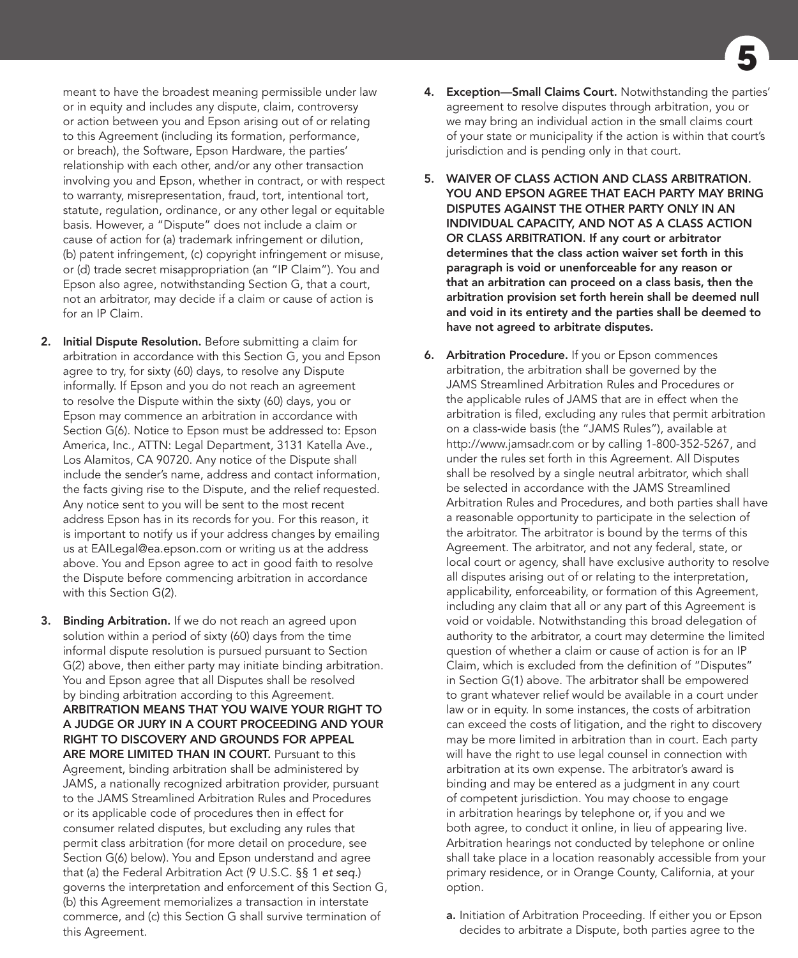meant to have the broadest meaning permissible under law or in equity and includes any dispute, claim, controversy or action between you and Epson arising out of or relating to this Agreement (including its formation, performance, or breach), the Software, Epson Hardware, the parties' relationship with each other, and/or any other transaction involving you and Epson, whether in contract, or with respect to warranty, misrepresentation, fraud, tort, intentional tort, statute, regulation, ordinance, or any other legal or equitable basis. However, a "Dispute" does not include a claim or cause of action for (a) trademark infringement or dilution, (b) patent infringement, (c) copyright infringement or misuse, or (d) trade secret misappropriation (an "IP Claim"). You and Epson also agree, notwithstanding Section G, that a court, not an arbitrator, may decide if a claim or cause of action is for an IP Claim.

- 2. Initial Dispute Resolution. Before submitting a claim for arbitration in accordance with this Section G, you and Epson agree to try, for sixty (60) days, to resolve any Dispute informally. If Epson and you do not reach an agreement to resolve the Dispute within the sixty (60) days, you or Epson may commence an arbitration in accordance with Section G(6). Notice to Epson must be addressed to: Epson America, Inc., ATTN: Legal Department, 3131 Katella Ave., Los Alamitos, CA 90720. Any notice of the Dispute shall include the sender's name, address and contact information, the facts giving rise to the Dispute, and the relief requested. Any notice sent to you will be sent to the most recent address Epson has in its records for you. For this reason, it is important to notify us if your address changes by emailing us at EAILegal@ea.epson.com or writing us at the address above. You and Epson agree to act in good faith to resolve the Dispute before commencing arbitration in accordance with this Section G(2).
- 3. Binding Arbitration. If we do not reach an agreed upon solution within a period of sixty (60) days from the time informal dispute resolution is pursued pursuant to Section G(2) above, then either party may initiate binding arbitration. You and Epson agree that all Disputes shall be resolved by binding arbitration according to this Agreement. ARBITRATION MEANS THAT YOU WAIVE YOUR RIGHT TO A JUDGE OR JURY IN A COURT PROCEEDING AND YOUR RIGHT TO DISCOVERY AND GROUNDS FOR APPEAL ARE MORE LIMITED THAN IN COURT. Pursuant to this Agreement, binding arbitration shall be administered by JAMS, a nationally recognized arbitration provider, pursuant to the JAMS Streamlined Arbitration Rules and Procedures or its applicable code of procedures then in effect for consumer related disputes, but excluding any rules that permit class arbitration (for more detail on procedure, see Section G(6) below). You and Epson understand and agree that (a) the Federal Arbitration Act (9 U.S.C. §§ 1 *et seq.*) governs the interpretation and enforcement of this Section G, (b) this Agreement memorializes a transaction in interstate commerce, and (c) this Section G shall survive termination of this Agreement.

4. Exception-Small Claims Court. Notwithstanding the parties' agreement to resolve disputes through arbitration, you or we may bring an individual action in the small claims court of your state or municipality if the action is within that court's jurisdiction and is pending only in that court.

**5**

- 5. WAIVER OF CLASS ACTION AND CLASS ARBITRATION. YOU AND EPSON AGREE THAT EACH PARTY MAY BRING DISPUTES AGAINST THE OTHER PARTY ONLY IN AN INDIVIDUAL CAPACITY, AND NOT AS A CLASS ACTION OR CLASS ARBITRATION. If any court or arbitrator determines that the class action waiver set forth in this paragraph is void or unenforceable for any reason or that an arbitration can proceed on a class basis, then the arbitration provision set forth herein shall be deemed null and void in its entirety and the parties shall be deemed to have not agreed to arbitrate disputes.
- **6.** Arbitration Procedure. If you or Epson commences arbitration, the arbitration shall be governed by the JAMS Streamlined Arbitration Rules and Procedures or the applicable rules of JAMS that are in effect when the arbitration is filed, excluding any rules that permit arbitration on a class-wide basis (the "JAMS Rules"), available at http://www.jamsadr.com or by calling 1-800-352-5267, and under the rules set forth in this Agreement. All Disputes shall be resolved by a single neutral arbitrator, which shall be selected in accordance with the JAMS Streamlined Arbitration Rules and Procedures, and both parties shall have a reasonable opportunity to participate in the selection of the arbitrator. The arbitrator is bound by the terms of this Agreement. The arbitrator, and not any federal, state, or local court or agency, shall have exclusive authority to resolve all disputes arising out of or relating to the interpretation, applicability, enforceability, or formation of this Agreement, including any claim that all or any part of this Agreement is void or voidable. Notwithstanding this broad delegation of authority to the arbitrator, a court may determine the limited question of whether a claim or cause of action is for an IP Claim, which is excluded from the definition of "Disputes" in Section G(1) above. The arbitrator shall be empowered to grant whatever relief would be available in a court under law or in equity. In some instances, the costs of arbitration can exceed the costs of litigation, and the right to discovery may be more limited in arbitration than in court. Each party will have the right to use legal counsel in connection with arbitration at its own expense. The arbitrator's award is binding and may be entered as a judgment in any court of competent jurisdiction. You may choose to engage in arbitration hearings by telephone or, if you and we both agree, to conduct it online, in lieu of appearing live. Arbitration hearings not conducted by telephone or online shall take place in a location reasonably accessible from your primary residence, or in Orange County, California, at your option.
	- a. Initiation of Arbitration Proceeding. If either you or Epson decides to arbitrate a Dispute, both parties agree to the